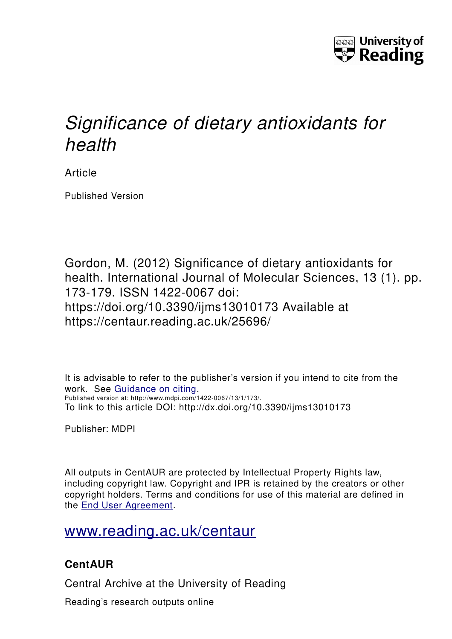

# *Significance of dietary antioxidants for health*

Article

Published Version

Gordon, M. (2012) Significance of dietary antioxidants for health. International Journal of Molecular Sciences, 13 (1). pp. 173-179. ISSN 1422-0067 doi: https://doi.org/10.3390/ijms13010173 Available at https://centaur.reading.ac.uk/25696/

It is advisable to refer to the publisher's version if you intend to cite from the work. See [Guidance on citing.](http://centaur.reading.ac.uk/71187/10/CentAUR%20citing%20guide.pdf) Published version at: http://www.mdpi.com/1422-0067/13/1/173/. To link to this article DOI: http://dx.doi.org/10.3390/ijms13010173

Publisher: MDPI

All outputs in CentAUR are protected by Intellectual Property Rights law, including copyright law. Copyright and IPR is retained by the creators or other copyright holders. Terms and conditions for use of this material are defined in the [End User Agreement.](http://centaur.reading.ac.uk/licence)

[www.reading.ac.uk/centaur](http://www.reading.ac.uk/centaur)

# **CentAUR**

Central Archive at the University of Reading

Reading's research outputs online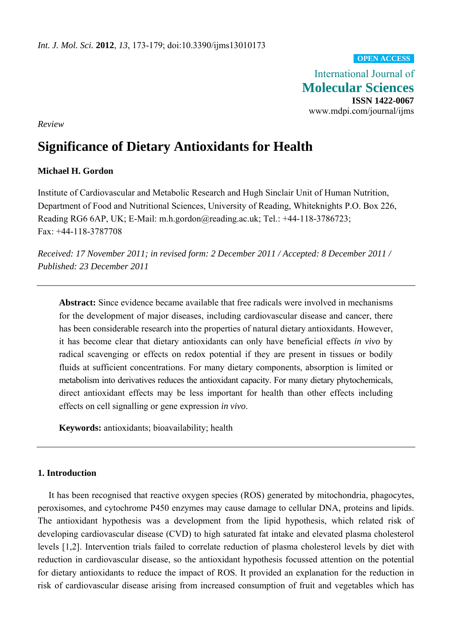#### **OPEN ACCESS**

International Journal of **Molecular Sciences ISSN 1422-0067**  www.mdpi.com/journal/ijms

*Review* 

# **Significance of Dietary Antioxidants for Health**

# **Michael H. Gordon**

Institute of Cardiovascular and Metabolic Research and Hugh Sinclair Unit of Human Nutrition, Department of Food and Nutritional Sciences, University of Reading, Whiteknights P.O. Box 226, Reading RG6 6AP, UK; E-Mail: m.h.gordon@reading.ac.uk; Tel.: +44-118-3786723; Fax: +44-118-3787708

*Received: 17 November 2011; in revised form: 2 December 2011 / Accepted: 8 December 2011 / Published: 23 December 2011* 

**Abstract:** Since evidence became available that free radicals were involved in mechanisms for the development of major diseases, including cardiovascular disease and cancer, there has been considerable research into the properties of natural dietary antioxidants. However, it has become clear that dietary antioxidants can only have beneficial effects *in vivo* by radical scavenging or effects on redox potential if they are present in tissues or bodily fluids at sufficient concentrations. For many dietary components, absorption is limited or metabolism into derivatives reduces the antioxidant capacity. For many dietary phytochemicals, direct antioxidant effects may be less important for health than other effects including effects on cell signalling or gene expression *in vivo*.

**Keywords:** antioxidants; bioavailability; health

## **1. Introduction**

It has been recognised that reactive oxygen species (ROS) generated by mitochondria, phagocytes, peroxisomes, and cytochrome P450 enzymes may cause damage to cellular DNA, proteins and lipids. The antioxidant hypothesis was a development from the lipid hypothesis, which related risk of developing cardiovascular disease (CVD) to high saturated fat intake and elevated plasma cholesterol levels [1,2]. Intervention trials failed to correlate reduction of plasma cholesterol levels by diet with reduction in cardiovascular disease, so the antioxidant hypothesis focussed attention on the potential for dietary antioxidants to reduce the impact of ROS. It provided an explanation for the reduction in risk of cardiovascular disease arising from increased consumption of fruit and vegetables which has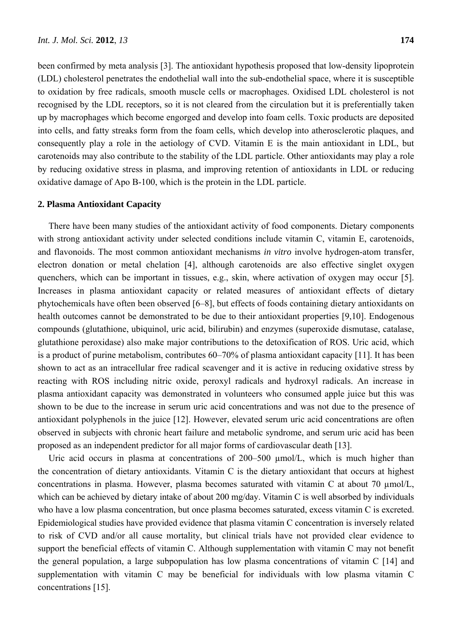been confirmed by meta analysis [3]. The antioxidant hypothesis proposed that low-density lipoprotein (LDL) cholesterol penetrates the endothelial wall into the sub-endothelial space, where it is susceptible to oxidation by free radicals, smooth muscle cells or macrophages. Oxidised LDL cholesterol is not recognised by the LDL receptors, so it is not cleared from the circulation but it is preferentially taken up by macrophages which become engorged and develop into foam cells. Toxic products are deposited into cells, and fatty streaks form from the foam cells, which develop into atherosclerotic plaques, and consequently play a role in the aetiology of CVD. Vitamin E is the main antioxidant in LDL, but carotenoids may also contribute to the stability of the LDL particle. Other antioxidants may play a role by reducing oxidative stress in plasma, and improving retention of antioxidants in LDL or reducing oxidative damage of Apo B-100, which is the protein in the LDL particle.

#### **2. Plasma Antioxidant Capacity**

There have been many studies of the antioxidant activity of food components. Dietary components with strong antioxidant activity under selected conditions include vitamin C, vitamin E, carotenoids, and flavonoids. The most common antioxidant mechanisms *in vitro* involve hydrogen-atom transfer, electron donation or metal chelation [4], although carotenoids are also effective singlet oxygen quenchers, which can be important in tissues, e.g., skin, where activation of oxygen may occur [5]. Increases in plasma antioxidant capacity or related measures of antioxidant effects of dietary phytochemicals have often been observed [6–8], but effects of foods containing dietary antioxidants on health outcomes cannot be demonstrated to be due to their antioxidant properties [9,10]. Endogenous compounds (glutathione, ubiquinol, uric acid, bilirubin) and enzymes (superoxide dismutase, catalase, glutathione peroxidase) also make major contributions to the detoxification of ROS. Uric acid, which is a product of purine metabolism, contributes 60–70% of plasma antioxidant capacity [11]. It has been shown to act as an intracellular free radical scavenger and it is active in reducing oxidative stress by reacting with ROS including nitric oxide, peroxyl radicals and hydroxyl radicals. An increase in plasma antioxidant capacity was demonstrated in volunteers who consumed apple juice but this was shown to be due to the increase in serum uric acid concentrations and was not due to the presence of antioxidant polyphenols in the juice [12]. However, elevated serum uric acid concentrations are often observed in subjects with chronic heart failure and metabolic syndrome, and serum uric acid has been proposed as an independent predictor for all major forms of cardiovascular death [13].

Uric acid occurs in plasma at concentrations of 200–500  $\mu$ mol/L, which is much higher than the concentration of dietary antioxidants. Vitamin C is the dietary antioxidant that occurs at highest concentrations in plasma. However, plasma becomes saturated with vitamin C at about 70  $\mu$ mol/L, which can be achieved by dietary intake of about 200 mg/day. Vitamin C is well absorbed by individuals who have a low plasma concentration, but once plasma becomes saturated, excess vitamin C is excreted. Epidemiological studies have provided evidence that plasma vitamin C concentration is inversely related to risk of CVD and/or all cause mortality, but clinical trials have not provided clear evidence to support the beneficial effects of vitamin C. Although supplementation with vitamin C may not benefit the general population, a large subpopulation has low plasma concentrations of vitamin C [14] and supplementation with vitamin C may be beneficial for individuals with low plasma vitamin C concentrations [15].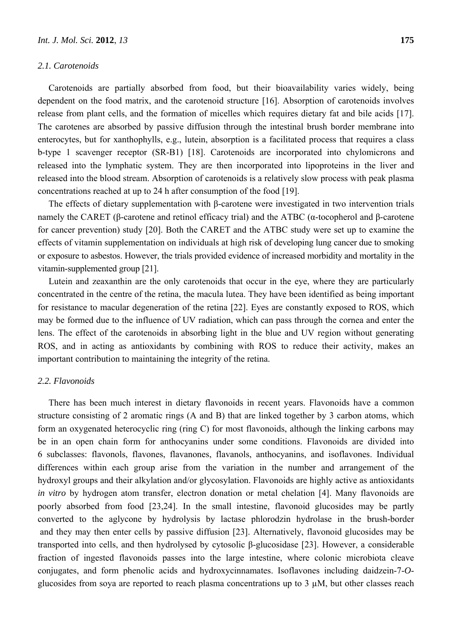#### *2.1. Carotenoids*

Carotenoids are partially absorbed from food, but their bioavailability varies widely, being dependent on the food matrix, and the carotenoid structure [16]. Absorption of carotenoids involves release from plant cells, and the formation of micelles which requires dietary fat and bile acids [17]. The carotenes are absorbed by passive diffusion through the intestinal brush border membrane into enterocytes, but for xanthophylls, e.g., lutein, absorption is a facilitated process that requires a class b-type 1 scavenger receptor (SR-B1) [18]. Carotenoids are incorporated into chylomicrons and released into the lymphatic system. They are then incorporated into lipoproteins in the liver and released into the blood stream. Absorption of carotenoids is a relatively slow process with peak plasma concentrations reached at up to 24 h after consumption of the food [19].

The effects of dietary supplementation with β-carotene were investigated in two intervention trials namely the CARET (β-carotene and retinol efficacy trial) and the ATBC (α-tocopherol and β-carotene for cancer prevention) study [20]. Both the CARET and the ATBC study were set up to examine the effects of vitamin supplementation on individuals at high risk of developing lung cancer due to smoking or exposure to asbestos. However, the trials provided evidence of increased morbidity and mortality in the vitamin-supplemented group [21].

Lutein and zeaxanthin are the only carotenoids that occur in the eye, where they are particularly concentrated in the centre of the retina, the macula lutea. They have been identified as being important for resistance to macular degeneration of the retina [22]. Eyes are constantly exposed to ROS, which may be formed due to the influence of UV radiation, which can pass through the cornea and enter the lens. The effect of the carotenoids in absorbing light in the blue and UV region without generating ROS, and in acting as antioxidants by combining with ROS to reduce their activity, makes an important contribution to maintaining the integrity of the retina.

#### *2.2. Flavonoids*

There has been much interest in dietary flavonoids in recent years. Flavonoids have a common structure consisting of 2 aromatic rings (A and B) that are linked together by 3 carbon atoms, which form an oxygenated heterocyclic ring (ring C) for most flavonoids, although the linking carbons may be in an open chain form for anthocyanins under some conditions. Flavonoids are divided into 6 subclasses: flavonols, flavones, flavanones, flavanols, anthocyanins, and isoflavones. Individual differences within each group arise from the variation in the number and arrangement of the hydroxyl groups and their alkylation and/or glycosylation. Flavonoids are highly active as antioxidants *in vitro* by hydrogen atom transfer, electron donation or metal chelation [4]. Many flavonoids are poorly absorbed from food [23,24]. In the small intestine, flavonoid glucosides may be partly converted to the aglycone by hydrolysis by lactase phlorodzin hydrolase in the brush-border and they may then enter cells by passive diffusion [23]. Alternatively, flavonoid glucosides may be transported into cells, and then hydrolysed by cytosolic β-glucosidase [23]. However, a considerable fraction of ingested flavonoids passes into the large intestine, where colonic microbiota cleave conjugates, and form phenolic acids and hydroxycinnamates. Isoflavones including daidzein-7-*O*glucosides from soya are reported to reach plasma concentrations up to 3 µM, but other classes reach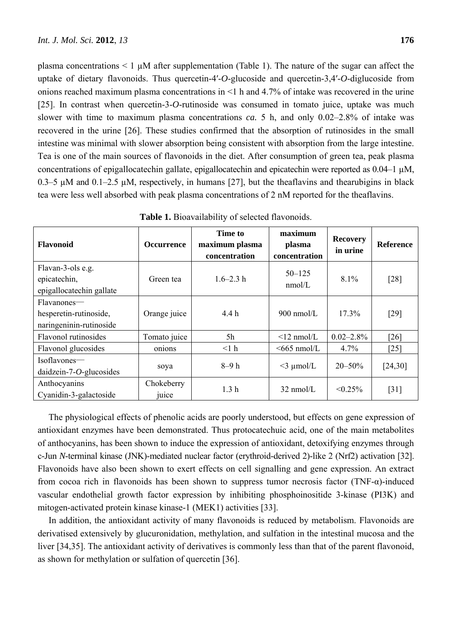plasma concentrations  $\leq 1 \mu M$  after supplementation (Table 1). The nature of the sugar can affect the uptake of dietary flavonoids. Thus quercetin-4′-*O*-glucoside and quercetin-3,4′-*O*-diglucoside from onions reached maximum plasma concentrations in <1 h and 4.7% of intake was recovered in the urine [25]. In contrast when quercetin-3-*O*-rutinoside was consumed in tomato juice, uptake was much slower with time to maximum plasma concentrations *ca.* 5 h, and only 0.02–2.8% of intake was recovered in the urine [26]. These studies confirmed that the absorption of rutinosides in the small intestine was minimal with slower absorption being consistent with absorption from the large intestine. Tea is one of the main sources of flavonoids in the diet. After consumption of green tea, peak plasma concentrations of epigallocatechin gallate, epigallocatechin and epicatechin were reported as 0.04–1 µM, 0.3–5  $\mu$ M and 0.1–2.5  $\mu$ M, respectively, in humans [27], but the theaflavins and thearubigins in black tea were less well absorbed with peak plasma concentrations of 2 nM reported for the theaflavins.

| <b>Flavonoid</b>                                                 | <b>Occurrence</b>   | Time to<br>maximum plasma<br>concentration | maximum<br>plasma<br>concentration | <b>Recovery</b><br>in urine | <b>Reference</b> |
|------------------------------------------------------------------|---------------------|--------------------------------------------|------------------------------------|-----------------------------|------------------|
| Flavan-3-ols e.g.<br>epicatechin,<br>epigallocatechin gallate    | Green tea           | $1.6 - 2.3 h$                              | $50 - 125$<br>nmol/L               | 8.1%                        | [28]             |
| Flavanones—<br>hesperetin-rutinoside,<br>naringeninin-rutinoside | Orange juice        | 4.4h                                       | $900$ nmol/L                       | $17.3\%$                    | $[29]$           |
| Flavonol rutinosides                                             | Tomato juice        | 5h                                         | $\leq$ 12 nmol/L                   | $0.02 - 2.8\%$              | [26]             |
| Flavonol glucosides                                              | onions              | <1 h                                       | $<665$ nmol/L                      | 4.7%                        | $[25]$           |
| Isoflavones-<br>daidzein-7- $O$ -glucosides                      | soya                | $8-9h$                                     | $<$ 3 µmol/L                       | $20 - 50\%$                 | [24,30]          |
| Anthocyanins<br>Cyanidin-3-galactoside                           | Chokeberry<br>juice | 1.3 <sub>h</sub>                           | $32 \text{ nmol/L}$                | $\leq 0.25\%$               | $[31]$           |

The physiological effects of phenolic acids are poorly understood, but effects on gene expression of antioxidant enzymes have been demonstrated. Thus protocatechuic acid, one of the main metabolites of anthocyanins, has been shown to induce the expression of antioxidant, detoxifying enzymes through c-Jun *N*-terminal kinase (JNK)-mediated nuclear factor (erythroid-derived 2)-like 2 (Nrf2) activation [32]. Flavonoids have also been shown to exert effects on cell signalling and gene expression. An extract from cocoa rich in flavonoids has been shown to suppress tumor necrosis factor (TNF-α)-induced vascular endothelial growth factor expression by inhibiting phosphoinositide 3-kinase (PI3K) and mitogen-activated protein kinase kinase-1 (MEK1) activities [33].

In addition, the antioxidant activity of many flavonoids is reduced by metabolism. Flavonoids are derivatised extensively by glucuronidation, methylation, and sulfation in the intestinal mucosa and the liver [34,35]. The antioxidant activity of derivatives is commonly less than that of the parent flavonoid, as shown for methylation or sulfation of quercetin [36].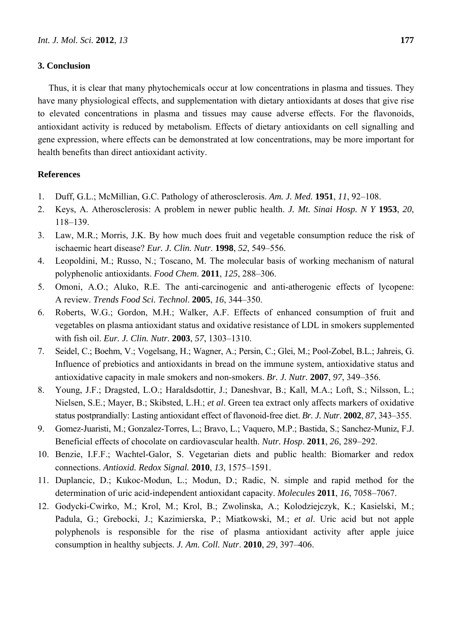## **3. Conclusion**

Thus, it is clear that many phytochemicals occur at low concentrations in plasma and tissues. They have many physiological effects, and supplementation with dietary antioxidants at doses that give rise to elevated concentrations in plasma and tissues may cause adverse effects. For the flavonoids, antioxidant activity is reduced by metabolism. Effects of dietary antioxidants on cell signalling and gene expression, where effects can be demonstrated at low concentrations, may be more important for health benefits than direct antioxidant activity.

## **References**

- 1. Duff, G.L.; McMillian, G.C. Pathology of atherosclerosis. *Am. J. Med.* **1951**, *11*, 92–108.
- 2. Keys, A. Atherosclerosis: A problem in newer public health. *J. Mt. Sinai Hosp. N Y* **1953**, *20*, 118–139.
- 3. Law, M.R.; Morris, J.K. By how much does fruit and vegetable consumption reduce the risk of ischaemic heart disease? *Eur. J. Clin. Nutr*. **1998**, *52*, 549–556.
- 4. Leopoldini, M.; Russo, N.; Toscano, M. The molecular basis of working mechanism of natural polyphenolic antioxidants. *Food Chem*. **2011**, *125*, 288–306.
- 5. Omoni, A.O.; Aluko, R.E. The anti-carcinogenic and anti-atherogenic effects of lycopene: A review. *Trends Food Sci. Technol*. **2005**, *16*, 344–350.
- 6. Roberts, W.G.; Gordon, M.H.; Walker, A.F. Effects of enhanced consumption of fruit and vegetables on plasma antioxidant status and oxidative resistance of LDL in smokers supplemented with fish oil. *Eur. J. Clin. Nutr.* **2003**, *57*, 1303–1310.
- 7. Seidel, C.; Boehm, V.; Vogelsang, H.; Wagner, A.; Persin, C.; Glei, M.; Pool-Zobel, B.L.; Jahreis, G. Influence of prebiotics and antioxidants in bread on the immune system, antioxidative status and antioxidative capacity in male smokers and non-smokers. *Br. J. Nutr.* **2007**, *97*, 349–356.
- 8. Young, J.F.; Dragsted, L.O.; Haraldsdottir, J.; Daneshvar, B.; Kall, M.A.; Loft, S.; Nilsson, L.; Nielsen, S.E.; Mayer, B.; Skibsted, L.H.; *et al*. Green tea extract only affects markers of oxidative status postprandially: Lasting antioxidant effect of flavonoid-free diet. *Br. J. Nutr*. **2002**, *87*, 343–355.
- 9. Gomez-Juaristi, M.; Gonzalez-Torres, L.; Bravo, L.; Vaquero, M.P.; Bastida, S.; Sanchez-Muniz, F.J. Beneficial effects of chocolate on cardiovascular health. *Nutr. Hosp*. **2011**, *26*, 289–292.
- 10. Benzie, I.F.F.; Wachtel-Galor, S. Vegetarian diets and public health: Biomarker and redox connections. *Antioxid. Redox Signal.* **2010**, *13*, 1575–1591.
- 11. Duplancic, D.; Kukoc-Modun, L.; Modun, D.; Radic, N. simple and rapid method for the determination of uric acid-independent antioxidant capacity. *Molecules* **2011**, *16*, 7058–7067.
- 12. Godycki-Cwirko, M.; Krol, M.; Krol, B.; Zwolinska, A.; Kolodziejczyk, K.; Kasielski, M.; Padula, G.; Grebocki, J.; Kazimierska, P.; Miatkowski, M.; *et al*. Uric acid but not apple polyphenols is responsible for the rise of plasma antioxidant activity after apple juice consumption in healthy subjects. *J. Am. Coll. Nutr*. **2010**, *29*, 397–406.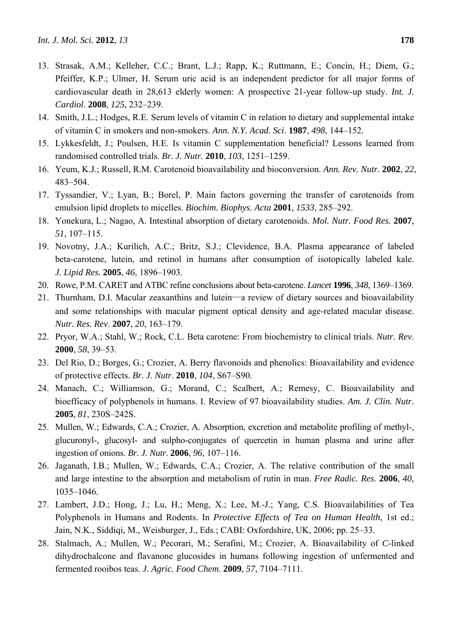- 13. Strasak, A.M.; Kelleher, C.C.; Brant, L.J.; Rapp, K.; Ruttmann, E.; Concin, H.; Diem, G.; Pfeiffer, K.P.; Ulmer, H. Serum uric acid is an independent predictor for all major forms of cardiovascular death in 28,613 elderly women: A prospective 21-year follow-up study. *Int. J. Cardiol*. **2008**, *125*, 232–239.
- 14. Smith, J.L.; Hodges, R.E. Serum levels of vitamin C in relation to dietary and supplemental intake of vitamin C in smokers and non-smokers. *Ann. N.Y. Acad. Sci*. **1987**, *498*, 144–152.
- 15. Lykkesfeldt, J.; Poulsen, H.E. Is vitamin C supplementation beneficial? Lessons learned from randomised controlled trials. *Br. J. Nutr.* **2010**, *103*, 1251–1259.
- 16. Yeum, K.J.; Russell, R.M. Carotenoid bioavailability and bioconversion. *Ann. Rev. Nutr*. **2002**, *22*, 483–504.
- 17. Tyssandier, V.; Lyan, B.; Borel, P. Main factors governing the transfer of carotenoids from emulsion lipid droplets to micelles. *Biochim. Biophys. Acta* **2001**, *1533*, 285–292.
- 18. Yonekura, L.; Nagao, A. Intestinal absorption of dietary carotenoids. *Mol. Nutr. Food Res.* **2007**, *51*, 107–115.
- 19. Novotny, J.A.; Kurilich, A.C.; Britz, S.J.; Clevidence, B.A. Plasma appearance of labeled beta-carotene, lutein, and retinol in humans after consumption of isotopically labeled kale. *J. Lipid Res.* **2005**, *46*, 1896–1903.
- 20. Rowe, P.M. CARET and ATBC refine conclusions about beta-carotene. *Lancet* **1996**, *348*, 1369–1369.
- 21. Thurnham, D.I. Macular zeaxanthins and lutein—a review of dietary sources and bioavailability and some relationships with macular pigment optical density and age-related macular disease. *Nutr. Res. Rev*. **2007**, *20*, 163–179.
- 22. Pryor, W.A.; Stahl, W.; Rock, C.L. Beta carotene: From biochemistry to clinical trials. *Nutr. Rev*. **2000**, *58*, 39–53.
- 23. Del Rio, D.; Borges, G.; Crozier, A. Berry flavonoids and phenolics: Bioavailability and evidence of protective effects. *Br. J. Nutr*. **2010**, *104*, S67–S90.
- 24. Manach, C.; Williamson, G.; Morand, C.; Scalbert, A.; Remesy, C. Bioavailability and bioefficacy of polyphenols in humans. I. Review of 97 bioavailability studies. *Am. J. Clin. Nutr*. **2005**, *81*, 230S–242S.
- 25. Mullen, W.; Edwards, C.A.; Crozier, A. Absorption, excretion and metabolite profiling of methyl-, glucuronyl-, glucosyl- and sulpho-conjugates of quercetin in human plasma and urine after ingestion of onions. *Br. J. Nutr*. **2006**, *96*, 107–116.
- 26. Jaganath, I.B.; Mullen, W.; Edwards, C.A.; Crozier, A. The relative contribution of the small and large intestine to the absorption and metabolism of rutin in man. *Free Radic. Res*. **2006**, *40*, 1035–1046.
- 27. Lambert, J.D.; Hong, J.; Lu, H.; Meng, X.; Lee, M.-J.; Yang, C.S. Bioavailabilities of Tea Polyphenols in Humans and Rodents. In *Protective Effects of Tea on Human Health*, 1st ed.; Jain, N.K., Siddiqi, M., Weisburger, J., Eds.; CABI: Oxfordshire, UK, 2006; pp. 25–33.
- 28. Stalmach, A.; Mullen, W.; Pecorari, M.; Serafini, M.; Crozier, A. Bioavailability of *C*-linked dihydrochalcone and flavanone glucosides in humans following ingestion of unfermented and fermented rooibos teas. *J. Agric. Food Chem*. **2009**, *57*, 7104–7111.